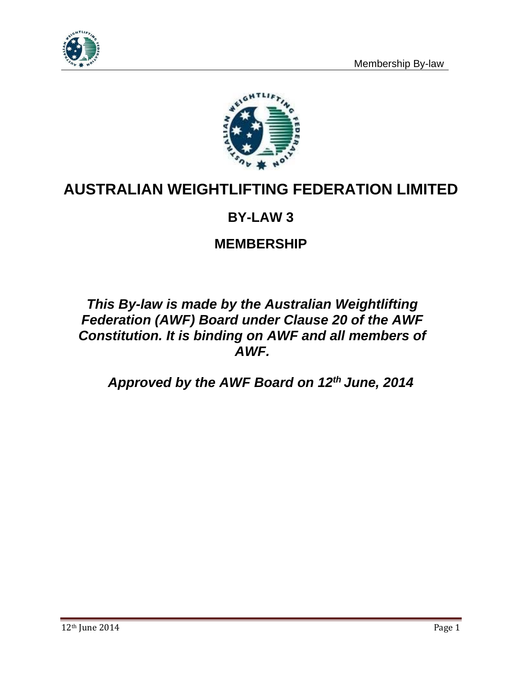



# **AUSTRALIAN WEIGHTLIFTING FEDERATION LIMITED**

# **BY-LAW 3**

# **MEMBERSHIP**

# *This By-law is made by the Australian Weightlifting Federation (AWF) Board under Clause 20 of the AWF Constitution. It is binding on AWF and all members of AWF.*

*Approved by the AWF Board on 12th June, 2014*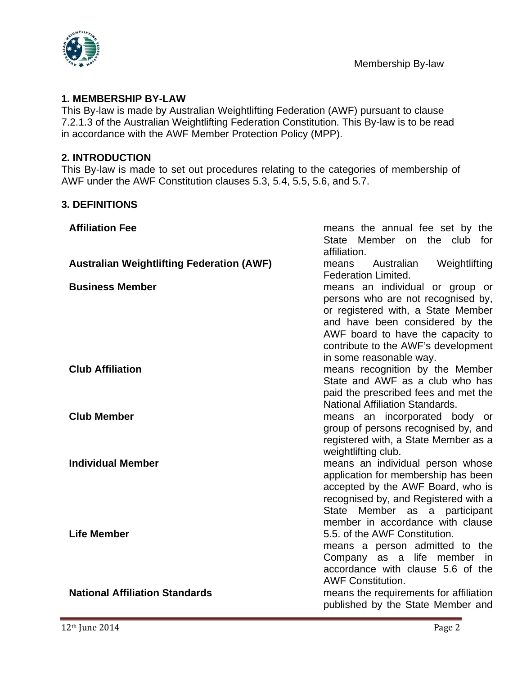

# **1. MEMBERSHIP BY-LAW**

This By-law is made by Australian Weightlifting Federation (AWF) pursuant to clause 7.2.1.3 of the Australian Weightlifting Federation Constitution. This By-law is to be read in accordance with the AWF Member Protection Policy (MPP).

#### **2. INTRODUCTION**

This By-law is made to set out procedures relating to the categories of membership of AWF under the AWF Constitution clauses 5.3, 5.4, 5.5, 5.6, and 5.7.

### **3. DEFINITIONS**

| <b>Affiliation Fee</b>                           | means the annual fee set by the<br>State Member on the club for<br>affiliation.                                                                                                                                                                       |  |
|--------------------------------------------------|-------------------------------------------------------------------------------------------------------------------------------------------------------------------------------------------------------------------------------------------------------|--|
| <b>Australian Weightlifting Federation (AWF)</b> | Australian<br>Weightlifting<br>means<br><b>Federation Limited.</b>                                                                                                                                                                                    |  |
| <b>Business Member</b>                           | means an individual or group or<br>persons who are not recognised by,<br>or registered with, a State Member<br>and have been considered by the<br>AWF board to have the capacity to<br>contribute to the AWF's development<br>in some reasonable way. |  |
| <b>Club Affiliation</b>                          | means recognition by the Member<br>State and AWF as a club who has<br>paid the prescribed fees and met the<br><b>National Affiliation Standards.</b>                                                                                                  |  |
| <b>Club Member</b>                               | means an incorporated body or<br>group of persons recognised by, and<br>registered with, a State Member as a<br>weightlifting club.                                                                                                                   |  |
| <b>Individual Member</b>                         | means an individual person whose<br>application for membership has been<br>accepted by the AWF Board, who is<br>recognised by, and Registered with a<br>State Member as a participant                                                                 |  |
| <b>Life Member</b>                               | member in accordance with clause<br>5.5, of the AWF Constitution.<br>means a person admitted to the<br>Company as a life member in<br>accordance with clause 5.6 of the<br><b>AWF Constitution.</b>                                                   |  |
| <b>National Affiliation Standards</b>            | means the requirements for affiliation<br>published by the State Member and                                                                                                                                                                           |  |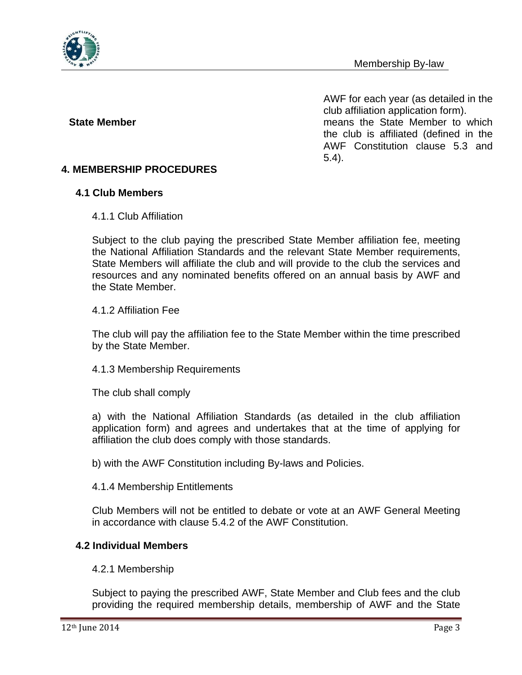

AWF for each year (as detailed in the club affiliation application form). **State Member** means the State Member to which the club is affiliated (defined in the AWF Constitution clause 5.3 and 5.4).

# **4.1 Club Members**

#### 4.1.1 Club Affiliation

**4. MEMBERSHIP PROCEDURES** 

Subject to the club paying the prescribed State Member affiliation fee, meeting the National Affiliation Standards and the relevant State Member requirements, State Members will affiliate the club and will provide to the club the services and resources and any nominated benefits offered on an annual basis by AWF and the State Member.

#### 4.1.2 Affiliation Fee

The club will pay the affiliation fee to the State Member within the time prescribed by the State Member.

#### 4.1.3 Membership Requirements

The club shall comply

a) with the National Affiliation Standards (as detailed in the club affiliation application form) and agrees and undertakes that at the time of applying for affiliation the club does comply with those standards.

b) with the AWF Constitution including By-laws and Policies.

#### 4.1.4 Membership Entitlements

Club Members will not be entitled to debate or vote at an AWF General Meeting in accordance with clause 5.4.2 of the AWF Constitution.

#### **4.2 Individual Members**

#### 4.2.1 Membership

Subject to paying the prescribed AWF, State Member and Club fees and the club providing the required membership details, membership of AWF and the State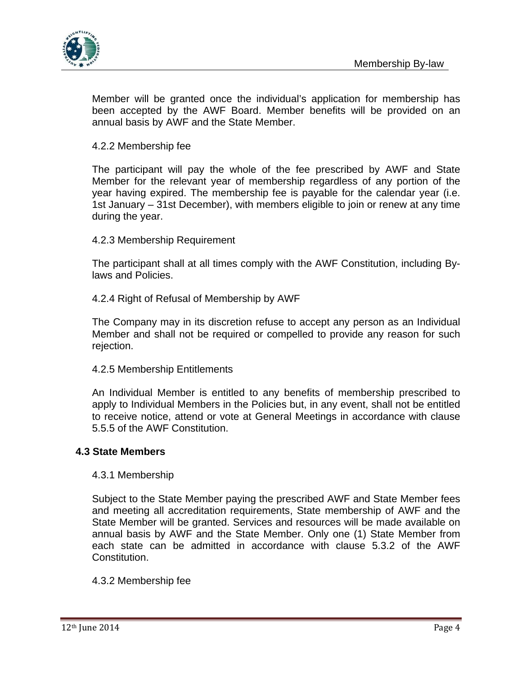



Member will be granted once the individual's application for membership has been accepted by the AWF Board. Member benefits will be provided on an annual basis by AWF and the State Member.

4.2.2 Membership fee

The participant will pay the whole of the fee prescribed by AWF and State Member for the relevant year of membership regardless of any portion of the year having expired. The membership fee is payable for the calendar year (i.e. 1st January – 31st December), with members eligible to join or renew at any time during the year.

4.2.3 Membership Requirement

The participant shall at all times comply with the AWF Constitution, including Bylaws and Policies.

4.2.4 Right of Refusal of Membership by AWF

The Company may in its discretion refuse to accept any person as an Individual Member and shall not be required or compelled to provide any reason for such rejection.

4.2.5 Membership Entitlements

An Individual Member is entitled to any benefits of membership prescribed to apply to Individual Members in the Policies but, in any event, shall not be entitled to receive notice, attend or vote at General Meetings in accordance with clause 5.5.5 of the AWF Constitution.

#### **4.3 State Members**

#### 4.3.1 Membership

Subject to the State Member paying the prescribed AWF and State Member fees and meeting all accreditation requirements, State membership of AWF and the State Member will be granted. Services and resources will be made available on annual basis by AWF and the State Member. Only one (1) State Member from each state can be admitted in accordance with clause 5.3.2 of the AWF Constitution.

#### 4.3.2 Membership fee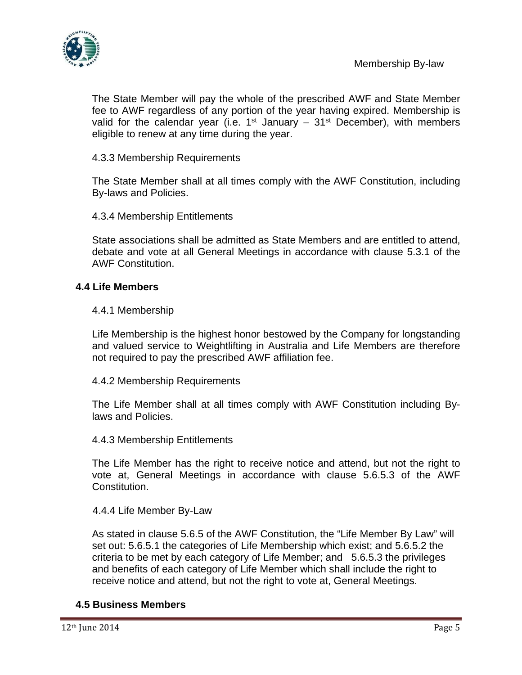

The State Member will pay the whole of the prescribed AWF and State Member fee to AWF regardless of any portion of the year having expired. Membership is valid for the calendar year (i.e.  $1^{st}$  January –  $31^{st}$  December), with members eligible to renew at any time during the year.

4.3.3 Membership Requirements

The State Member shall at all times comply with the AWF Constitution, including By-laws and Policies.

4.3.4 Membership Entitlements

State associations shall be admitted as State Members and are entitled to attend, debate and vote at all General Meetings in accordance with clause 5.3.1 of the AWF Constitution.

#### **4.4 Life Members**

#### 4.4.1 Membership

Life Membership is the highest honor bestowed by the Company for longstanding and valued service to Weightlifting in Australia and Life Members are therefore not required to pay the prescribed AWF affiliation fee.

4.4.2 Membership Requirements

The Life Member shall at all times comply with AWF Constitution including Bylaws and Policies.

4.4.3 Membership Entitlements

The Life Member has the right to receive notice and attend, but not the right to vote at, General Meetings in accordance with clause 5.6.5.3 of the AWF Constitution.

#### 4.4.4 Life Member By-Law

As stated in clause 5.6.5 of the AWF Constitution, the "Life Member By Law" will set out: 5.6.5.1 the categories of Life Membership which exist; and 5.6.5.2 the criteria to be met by each category of Life Member; and 5.6.5.3 the privileges and benefits of each category of Life Member which shall include the right to receive notice and attend, but not the right to vote at, General Meetings.

#### **4.5 Business Members**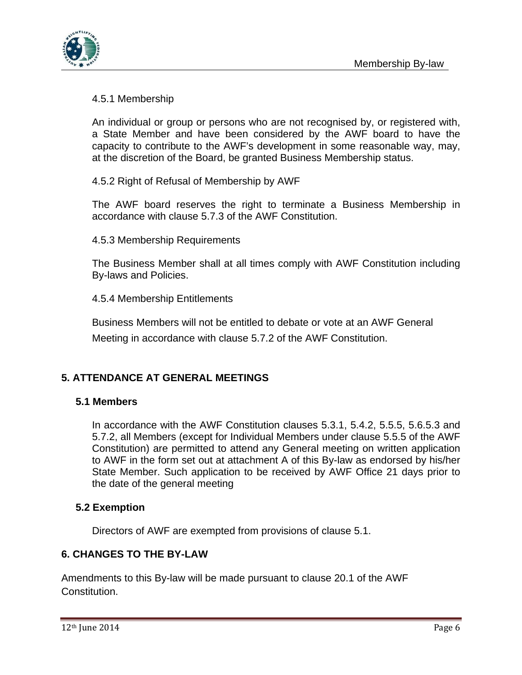

# 4.5.1 Membership

An individual or group or persons who are not recognised by, or registered with, a State Member and have been considered by the AWF board to have the capacity to contribute to the AWF's development in some reasonable way, may, at the discretion of the Board, be granted Business Membership status.

4.5.2 Right of Refusal of Membership by AWF

The AWF board reserves the right to terminate a Business Membership in accordance with clause 5.7.3 of the AWF Constitution.

4.5.3 Membership Requirements

The Business Member shall at all times comply with AWF Constitution including By-laws and Policies.

4.5.4 Membership Entitlements

Business Members will not be entitled to debate or vote at an AWF General Meeting in accordance with clause 5.7.2 of the AWF Constitution.

# **5. ATTENDANCE AT GENERAL MEETINGS**

# **5.1 Members**

In accordance with the AWF Constitution clauses 5.3.1, 5.4.2, 5.5.5, 5.6.5.3 and 5.7.2, all Members (except for Individual Members under clause 5.5.5 of the AWF Constitution) are permitted to attend any General meeting on written application to AWF in the form set out at attachment A of this By-law as endorsed by his/her State Member. Such application to be received by AWF Office 21 days prior to the date of the general meeting

# **5.2 Exemption**

Directors of AWF are exempted from provisions of clause 5.1.

# **6. CHANGES TO THE BY-LAW**

Amendments to this By-law will be made pursuant to clause 20.1 of the AWF Constitution.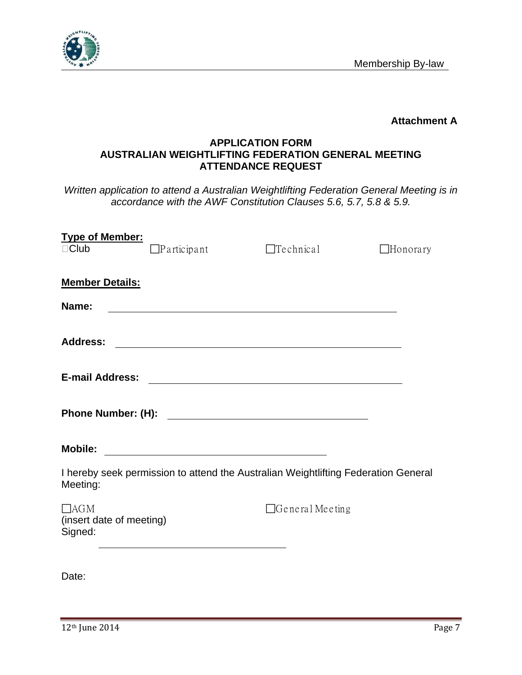

**Attachment A**

# **APPLICATION FORM AUSTRALIAN WEIGHTLIFTING FEDERATION GENERAL MEETING ATTENDANCE REQUEST**

*Written application to attend a Australian Weightlifting Federation General Meeting is in accordance with the AWF Constitution Clauses 5.6, 5.7, 5.8 & 5.9.* 

| <b>Type of Member:</b><br>$\Box$ Club                                                                                                           | $\Box$ Participant                                                                                                   | $\Box$ Technical                                                                                                                                                                                                                     | $\Box$ Honorary |  |
|-------------------------------------------------------------------------------------------------------------------------------------------------|----------------------------------------------------------------------------------------------------------------------|--------------------------------------------------------------------------------------------------------------------------------------------------------------------------------------------------------------------------------------|-----------------|--|
| <b>Member Details:</b>                                                                                                                          |                                                                                                                      |                                                                                                                                                                                                                                      |                 |  |
| Name:                                                                                                                                           |                                                                                                                      |                                                                                                                                                                                                                                      |                 |  |
| <b>Address:</b>                                                                                                                                 |                                                                                                                      | <u> 1980 - Andrea State Barbara, amerikan personal dan personal dan personal dan personal dan personal dan personal dan personal dan personal dan personal dan personal dan personal dan personal dan personal dan personal dan </u> |                 |  |
| <b>E-mail Address:</b><br><u> 1989 - Jan Barbara de Santo III e al Indonesia de la contrada de la contrada de la contrada de la contrada de</u> |                                                                                                                      |                                                                                                                                                                                                                                      |                 |  |
|                                                                                                                                                 |                                                                                                                      |                                                                                                                                                                                                                                      |                 |  |
| <b>Mobile:</b>                                                                                                                                  | <u> 1980 - Jan Samuel Barbara, margaret e populazion del control de la provincia del control de la provincia del</u> |                                                                                                                                                                                                                                      |                 |  |
| I hereby seek permission to attend the Australian Weightlifting Federation General<br>Meeting:                                                  |                                                                                                                      |                                                                                                                                                                                                                                      |                 |  |
| $\Box$ AGM<br>(insert date of meeting)<br>Signed:                                                                                               |                                                                                                                      | $\Box$ General Meeting                                                                                                                                                                                                               |                 |  |
|                                                                                                                                                 |                                                                                                                      |                                                                                                                                                                                                                                      |                 |  |

Date: